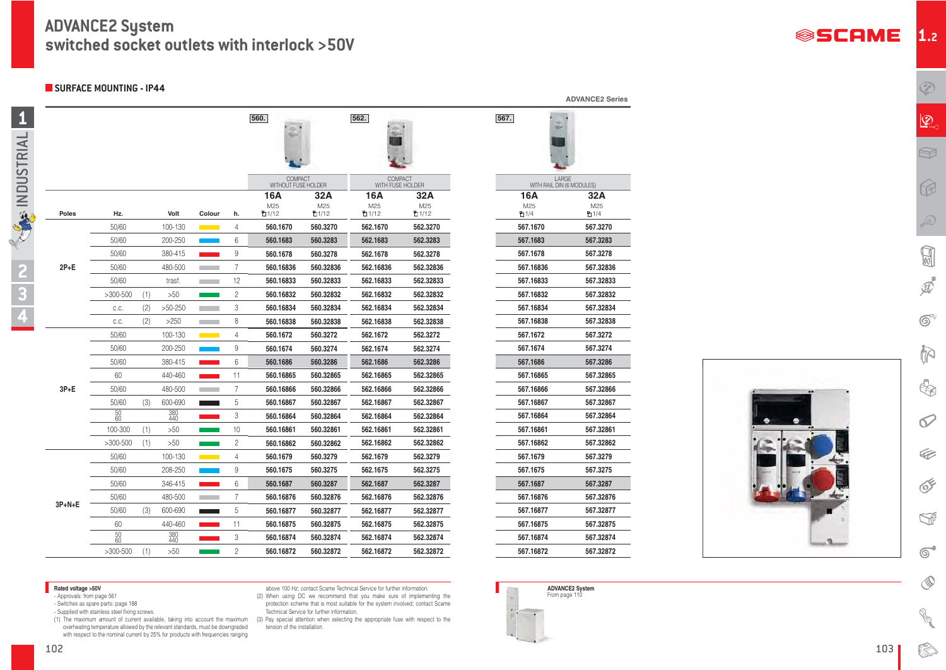**567.**

103

**1.2**

D

 $\mathbb{Q}$ 







**1**

**3**

**4**

**2**

**TAGE INDUSTRIAL** 

| LARGE<br>WITH RAIL DIN (6 MODULES) |               |  |  |  |  |
|------------------------------------|---------------|--|--|--|--|
| 16A                                | 32A           |  |  |  |  |
| M25<br>9 1/4                       | M25<br>ዋነ 1/4 |  |  |  |  |
| 567.1670                           | 567.3270      |  |  |  |  |
| 567.1683                           | 567.3283      |  |  |  |  |
| 567.1678                           | 567.3278      |  |  |  |  |
| 567.16836                          | 567.32836     |  |  |  |  |
| 567.16833                          | 567.32833     |  |  |  |  |
| 567.16832                          | 567.32832     |  |  |  |  |
| 567.16834                          | 567.32834     |  |  |  |  |
| 567.16838                          | 567.32838     |  |  |  |  |
| 567.1672                           | 567.3272      |  |  |  |  |
| 567.1674                           | 567.3274      |  |  |  |  |
| 567.1686                           | 567.3286      |  |  |  |  |
| 567.16865                          | 567.32865     |  |  |  |  |
| 567.16866                          | 567.32866     |  |  |  |  |
| 567.16867                          | 567.32867     |  |  |  |  |
| 567.16864                          | 567.32864     |  |  |  |  |
| 567.16861                          | 567.32861     |  |  |  |  |
| 567.16862                          | 567.32862     |  |  |  |  |
| 567.1679                           | 567.3279      |  |  |  |  |
| 567.1675                           | 567.3275      |  |  |  |  |
| 567.1687                           | 567.3287      |  |  |  |  |
| 567.16876                          | 567.32876     |  |  |  |  |
| 567.16877                          | 567.32877     |  |  |  |  |
| 567.16875                          | 567.32875     |  |  |  |  |
| 567.16874                          | 567.32874     |  |  |  |  |
| 567.16872                          | 567.32872     |  |  |  |  |

- 
- Approvals: from page 561<br>- Switches as spare parts: page 188
- Supplied with stainless steel fixing screws.

**Adted voltage >50V** - **ADVANCE2 System** ADVANCE2 System above 100 Hz; contact Scame Technical Service for further information.<br>Approvals: from page 561 **ADVANCE2 System** (2) When using DC we recommend that you make sure o protection scheme that is most suitable for the system involved; contact Scame Technical Service for further information.

**ADVANCE2 Series**

|              |                 |     |            |                                         |                | 560.                                  |           | 562.                               |           |
|--------------|-----------------|-----|------------|-----------------------------------------|----------------|---------------------------------------|-----------|------------------------------------|-----------|
|              |                 |     |            |                                         |                | <b>COMPACT</b><br>WITHOUT FUSE HOLDER |           | <b>COMPACT</b><br>WITH FUSE HOLDER |           |
|              |                 |     |            |                                         |                | <b>16A</b>                            | 32A       | <b>16A</b>                         | 32A       |
|              |                 |     |            |                                         |                | M25                                   | M25       | M25                                | M25       |
| <b>Poles</b> | Hz.             |     | Volt       | Colour                                  | h.             | □1/12                                 | 的1/12     | □ 1/12                             | □1/12     |
|              | 50/60           |     | 100-130    | $\mathcal{L}^{\text{max}}_{\text{max}}$ | 4              | 560.1670                              | 560.3270  | 562.1670                           | 562,3270  |
|              | 50/60           |     | 200-250    |                                         | 6              | 560.1683                              | 560.3283  | 562.1683                           | 562.3283  |
|              | 50/60           |     | 380-415    |                                         | $\hbox{9}$     | 560.1678                              | 560.3278  | 562.1678                           | 562.3278  |
| $2P+E$       | 50/60           |     | 480-500    |                                         | 7              | 560.16836                             | 560.32836 | 562.16836                          | 562.32836 |
|              | 50/60           |     | trasf.     |                                         | 12             | 560.16833                             | 560.32833 | 562.16833                          | 562.32833 |
|              | $>300-500$      | (1) | >50        |                                         | $\mathbf{2}$   | 560.16832                             | 560.32832 | 562.16832                          | 562.32832 |
|              | C.C.            | (2) | $>50-250$  |                                         | 3              | 560.16834                             | 560.32834 | 562.16834                          | 562.32834 |
|              | C.C.            | (2) | >250       |                                         | 8              | 560.16838                             | 560.32838 | 562.16838                          | 562.32838 |
|              | 50/60           |     | 100-130    |                                         | 4              | 560.1672                              | 560.3272  | 562.1672                           | 562.3272  |
|              | 50/60           |     | 200-250    |                                         | $\hbox{9}$     | 560.1674                              | 560.3274  | 562.1674                           | 562.3274  |
|              | 50/60           |     | 380-415    |                                         | 6              | 560.1686                              | 560.3286  | 562.1686                           | 562.3286  |
|              | 60              |     | 440-460    |                                         | 11             | 560.16865                             | 560.32865 | 562.16865                          | 562.32865 |
| $3P+E$       | 50/60           |     | 480-500    |                                         | 7              | 560.16866                             | 560.32866 | 562.16866                          | 562.32866 |
|              | 50/60           | (3) | 600-690    |                                         | 5              | 560.16867                             | 560.32867 | 562.16867                          | 562.32867 |
|              | $\frac{50}{60}$ |     | 380<br>440 |                                         | 3              | 560.16864                             | 560.32864 | 562.16864                          | 562.32864 |
|              | 100-300         | (1) | >50        |                                         | 10             | 560.16861                             | 560.32861 | 562.16861                          | 562.32861 |
|              | $>300-500$      | (1) | >50        |                                         | 2              | 560.16862                             | 560.32862 | 562.16862                          | 562.32862 |
|              | 50/60           |     | 100-130    |                                         | 4              | 560.1679                              | 560.3279  | 562.1679                           | 562.3279  |
|              | 50/60           |     | 208-250    |                                         | 9              | 560.1675                              | 560.3275  | 562.1675                           | 562.3275  |
|              | 50/60           |     | 346-415    |                                         | 6              | 560.1687                              | 560.3287  | 562.1687                           | 562.3287  |
|              | 50/60           |     | 480-500    |                                         | 7              | 560.16876                             | 560.32876 | 562.16876                          | 562.32876 |
| 3P+N+E       | 50/60           | (3) | 600-690    |                                         | 5              | 560.16877                             | 560.32877 | 562.16877                          | 562.32877 |
|              | 60              |     | 440-460    |                                         | 11             | 560.16875                             | 560.32875 | 562.16875                          | 562.32875 |
|              | $50$ $60$       |     | 380<br>440 |                                         | 3              | 560.16874                             | 560.32874 | 562.16874                          | 562.32874 |
|              | $>300-500$      | (1) | >50        |                                         | $\overline{c}$ | 560.16872                             | 560.32872 | 562.16872                          | 562.32872 |

overheating temperature allowed by the relevant standards, must be downgraded with respect to the nominal current by 25% for products with frequencies ranging

above 100 Hz; contact Scame Technical Service for further information.

(1) The maximum amount of current available, taking into account the maximum (3) Pay special attention when selecting the appropriate fuse with respect to the tension of the installation.



## **ADVANCE2 System switched socket outlets with interlock >50V**

**SURFACE MOUNTING - IP44**